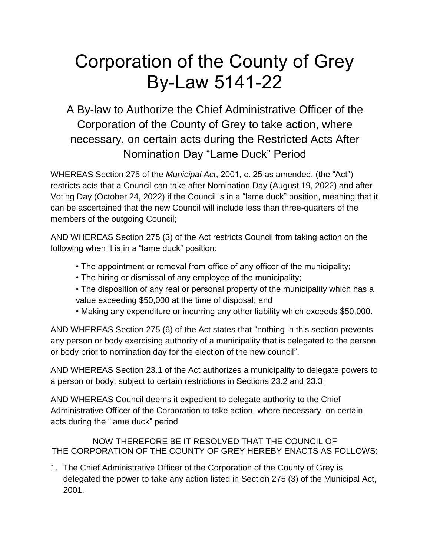## Corporation of the County of Grey By-Law 5141-22

A By-law to Authorize the Chief Administrative Officer of the Corporation of the County of Grey to take action, where necessary, on certain acts during the Restricted Acts After Nomination Day "Lame Duck" Period

WHEREAS Section 275 of the *Municipal Act*, 2001, c. 25 as amended, (the "Act") restricts acts that a Council can take after Nomination Day (August 19, 2022) and after Voting Day (October 24, 2022) if the Council is in a "lame duck" position, meaning that it can be ascertained that the new Council will include less than three-quarters of the members of the outgoing Council;

AND WHEREAS Section 275 (3) of the Act restricts Council from taking action on the following when it is in a "lame duck" position:

- The appointment or removal from office of any officer of the municipality;
- The hiring or dismissal of any employee of the municipality;
- The disposition of any real or personal property of the municipality which has a value exceeding \$50,000 at the time of disposal; and
- Making any expenditure or incurring any other liability which exceeds \$50,000.

AND WHEREAS Section 275 (6) of the Act states that "nothing in this section prevents any person or body exercising authority of a municipality that is delegated to the person or body prior to nomination day for the election of the new council".

AND WHEREAS Section 23.1 of the Act authorizes a municipality to delegate powers to a person or body, subject to certain restrictions in Sections 23.2 and 23.3;

AND WHEREAS Council deems it expedient to delegate authority to the Chief Administrative Officer of the Corporation to take action, where necessary, on certain acts during the "lame duck" period

NOW THEREFORE BE IT RESOLVED THAT THE COUNCIL OF THE CORPORATION OF THE COUNTY OF GREY HEREBY ENACTS AS FOLLOWS:

1. The Chief Administrative Officer of the Corporation of the County of Grey is delegated the power to take any action listed in Section 275 (3) of the Municipal Act, 2001.